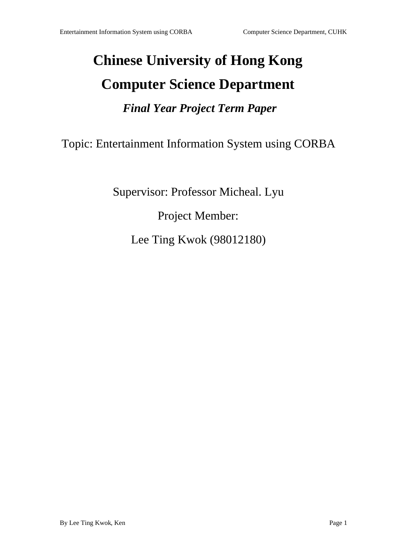# **Chinese University of Hong Kong Computer Science Department** *Final Year Project Term Paper*

Topic: Entertainment Information System using CORBA

Supervisor: Professor Micheal. Lyu

ProjectMember:

LeeTingKwok(98012180)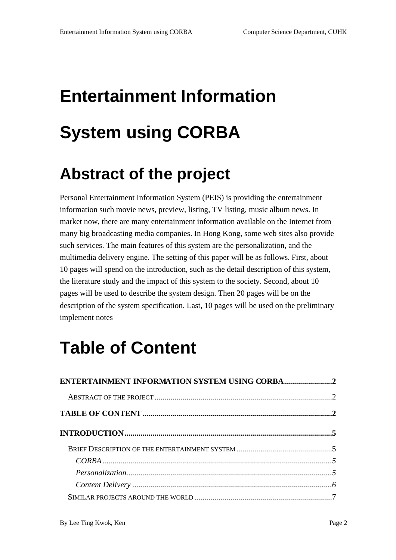# **EntertainmentInformation System us ing CORBA**

## **Abstract of the project**

Personal Entertainment Information System (PEIS) is providing the entertainment information such movie news, preview, listing, TV listing, musical bum news. In market now, there are many entertainment information available on the Internet from many big broadcasting media companies. In Hong Kong, some web sites also provide such services. The main features of this system are the personalization, and the multimediadelivery engine. The setting of this paper will be as follows . First, about 10 pages will spend on the introduction, such as the detail description of this system, the literature study and the impact of this system to the society. Second, about 10 pages will be used to describe the system design. Then 20 pages will be on the description of the system specification. Last, 10 pages will be used on the preliminary implement notes

## **Table of Content**

| ENTERTAINMENTINFORMATIONSYSTEMUSINGC ORBA2 |  |
|--------------------------------------------|--|
|                                            |  |
|                                            |  |
|                                            |  |
|                                            |  |
|                                            |  |
| $\label{eq:gen} Personalization$           |  |
|                                            |  |
|                                            |  |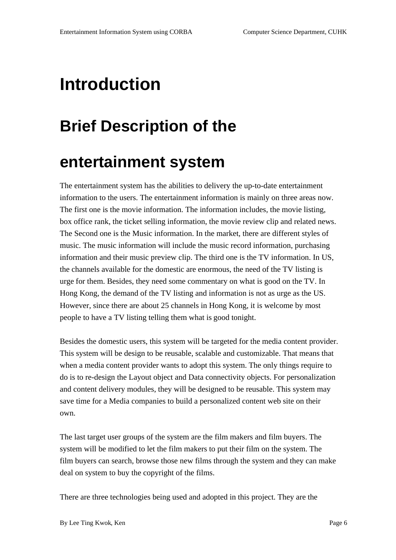## **Introduction**

## **Brief Description of the**

## **entertainment system**

The entertainment system has the abilities to delivery the up -to-date entertainment information to the users. The entertainment information is mainly on three areas now. The first one is the movie informat ion. The information includes, the movie listing, box officerank, the tickets elling information, the movier eview clip and related news. The Secondone is the Music information. In the market, the reared ifferent styles of music. The music information wi llinclude the music record information, purchasing information and their music preview clip. The third one is the TV information. In US, the channels available for the domestic are enormous, the need of the TV listing is urgeforthem. Besides, they need some commentary on what is good on the TV. In Hong Kong, the demand of the TV listing and information is not as urge as the US. However, since there are about 25 channels in Hong Kong, it is well come by most peopletohave a TV listing telling them what is good tonight.

Besides the domestic users, this system will be targeted for the media content provider. This system will be design to be reusable, scalable and customizable. That means that when a media content provider want sto adopt this system. The only thing srequire to doistore -designthe Layout object and Data connectivity objects. For personalization and content delivery modules, they will be designed to be reusable. This system may savetime for a Media companies to build a personalized content web site on their own.

The last target user groups of the system are the film makers and film buyers. The system will be modified to let the film makers to put their film on the system. The film buyers can search, browse those new films through the system and they can make deal on system to buy the copyright of the films.

There are three technologies being used and adopted in this project. They are the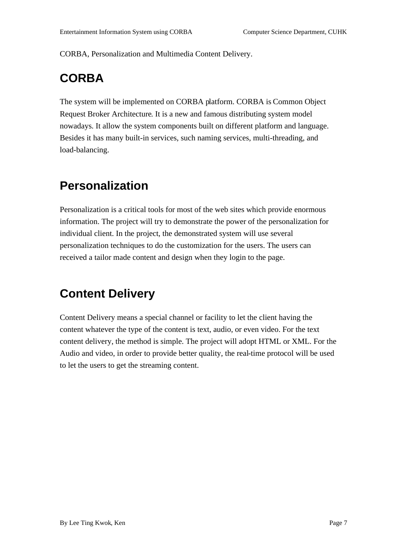CORBA, Personalization and Multimedia Content Delivery.

### **CORBA**

The system will be implemented on CORBA p latform. CORBA is Common Object RequestBrokerArchitecture .Itisanewandfamousdistributingsystemmodel nowadays. It allow the system components built on different platform and language. Besidesithas many built -inservices, such naming services, mu lti-threading, and load-balancing.

#### **Personalization**

Personalization is a critical tools for most of the websites which provide enormous information. The project will try to demonstrate the power of the personalization for individual client. In the project , the demonstrated system will use several personalization techniques to do the customization for the users. The users can received atailor made content and design when they login to the page.

#### **Content Delivery**

Content Delivery means a special channel or facility to let the client having the content whatever the type of the content is text, audio, or even video. For the text content delivery, the methodis simple. The project will adopt HTML or XML. For the Audio and video, in order to provide better qual ity, the real -time protocol will be used to let the users to get the streaming content.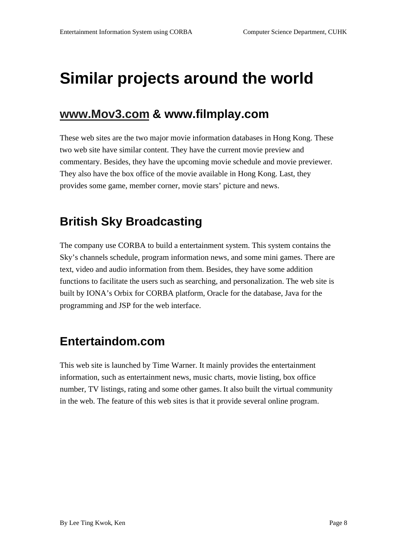## **Similarprojects around the world**

#### **www.Mov3.com & www.filmplay.com**

These websites are the two major movie information databases in Hong Kong. These two web site have similar content. They have the current movie preview and commentary. Besides, they have the upcoming movie schedule and movie previewer. They also have the box of fice of the movie available in Hong Kong. Last, they provides some game, member corner, movie stars' picture and news.

#### **British Sky Broadcasting**

The company use CORBA to build a entertainment system. This system contains the Sky's channels schedule, program information news, and some minigames. There are text, v ideo and audio information from them. Besides, they have some addition functions to facilitate the users such as searching, and personalization. The website is built by IONA's Orbix for CORBA platform, Oracle for the database, Java for the programming and JSP for the web interface.

#### **Entertaindom.com**

This web site is launched by Time Warner. It mainly provides the entertainment information, such as entertainment news, music charts, movie listing, box office number, TV listings, rating and some other games. It also built the virtual community in the web. The feature of this websites is that it provides everal online program.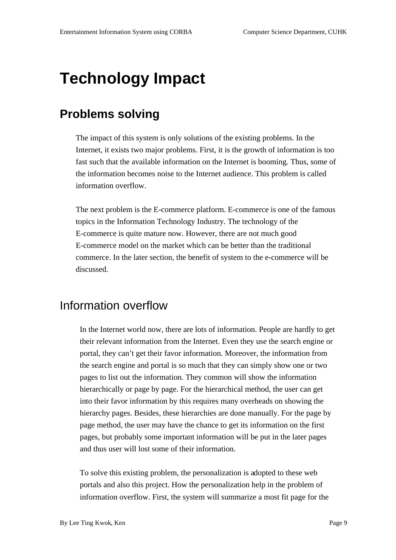## **Technology Impact**

#### **Problems solving**

The impact of this systemis only solutions of the existing problems. In the Internet, it exists two major problems. First, it is the growth of information is too fast such that the available information on the Internet is booming. Thus, some of the information becomes noise to the Internet audience. This problem is called information overflow.

Thene xtproblem is the E -commerce platform. E -commerce is one of the famous topics in the Information Technology Industry. The technology of the E-commerce is quite mature now. However, the reare not much good E-commerce model on the market which can be better than the traditional commerce. In the later section, the benefit of system to the e -commerce will be discussed.

#### Information overflow

In the Internet world now, there are lots of information. People are hardly to get their relevant information from the Int ernet. Even they use the search engine or portal, they can 't get their favor information. Moreover, the information from the search engine and portal is so much that they can simply show one or two pages to list out the information. They common will show the information hierarchically or page by page. For the hierarchical method, the user can get into their favor information by this requires many overheads on showing the hierarchy pages. Besides, these hierarchies are done manually. For the page by pagemet hod, the user may have the chance to get its information on the first pages, but probably some important information will be put in the later pages and thus user will lost some of their information.

To solve this existing problem, the personalization is a dopted to the seweb portals and also this project. How the personalization help in the problem of information overflow. First, the system will summarize a mostfit page for the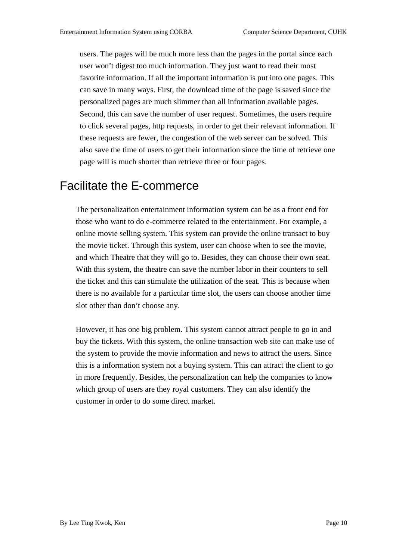users. The pages will be much more less than the pages in the portal since each userwon 't digest too much information. They just want to read their most favorite information. If all the important information is put into one pages. This can save in many ways. First, the download time of the page is saved since the personalized pages are much slimmer than all information available pages. Second, this can save the number of user request. Sometimes, the users require to click several pages, http requests, in order to get their relevant information. If these requests are fewer, the conges tion of the webserver can be solved. This also save the time of users to get their information since the time of retrieve one page will is much shorter than retrieve three or four pages.

#### Facilitate the E -commerce

The personalization entertainment informa tionsystem can be as a frontend for those who want to doe -commerce related to the entertainment. For example, a online movies elling system. This system can provide the online transact to buy the movie ticket. Through this system, user can choose when t osee the movie, and which Theatre that they will go to. Besides, they can choose their own seat. With this system, the theatre can save the number labor in their counters to sell the ticket and this can stimulate the utilization of the seat. This is because use when there is no available for a particular times lot, the users can choose another time slotother thand on 't choose any.

However, it has one big problem. This system cannot attract people to goinand buy the tickets. With this system, the online transaction website can make use of the system to provide the movie information and news to attract the users. Since this is a information system notabuying system. This can attract the client to go in more frequently. Besides, the personalization can hel pthe companies to know which group of users are they royal customers. They can also identify the customer in order to do some direct market.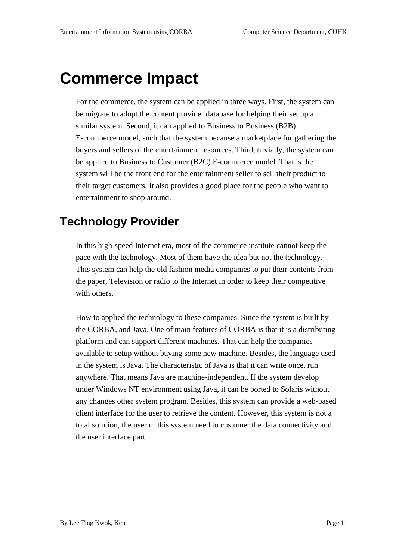## **Commerce Impact**

For the commerce, the system can be applied in three ways. First, the system can be migrate to a dopt the content provider database for helping their setup a similar system. Second, it can applied to Business to Business (B2B) E-commerce model, such that the system because a market place for gathering the buyers and seller softhe entertainment resources. Third, trivially, the system can be applied to Business to Customer (B2C) E -commerce model. That is the system will be the front end for the entertainment seller to sell their product to their target customers. It also provides a good place for the perceptual ople who want to entertainment to shop around.

#### **Technology Provider**

In this high -speed Internet era, most of the commerce institute cannot keep the pace with the technology. Most of them have the idea but not the technology. This system can help the old fas hion media companies to put their contents from the paper, Television or radio to the Internet in order to keep their competitive with others.

How to applied the technology to these companies. Since the system is built by the CORBA, and Java. One of main features of CORBA is that it is a distributing platform and can support different machines. That can help the companies available to setup without buying some new machine. Besides, the language used in the system is Java. The characteristic of Javais that it can write once, run anywhere. That means Java are machine -independent. If the system develop under Windows NT environment using Java, it can be ported to Solar is without any changes other system program. Besides, this system can provide a web -based client interface for the user to retrieve the content. However, this system is not a total solution, the user of this system need to customer the data connectivity and the user interface part.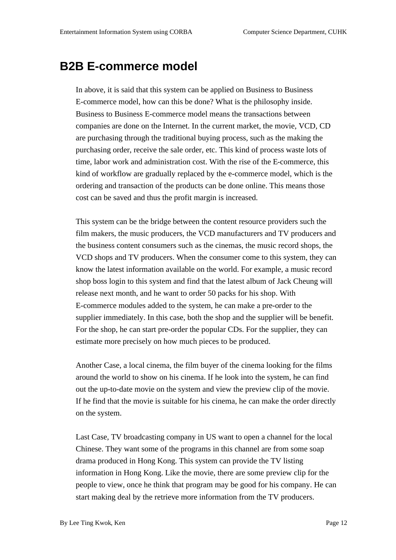#### **B2BE** -commerce model

In above, it is said that this system can b eapplied on Business to Business E-commerce model, how can this bedone? What is the philosophy inside. BusinesstoBusinessE -commerce model means the transactions between companies are done on the Internet. In the current market, the movie, VCD, CD are purchasing through the traditional buying process, such as the making the purchasing order, receive the sale order, etc. This kind of process was telots of time, labor work and administration cost. With the rise of the E -commerce, this kind of workflow are gradually replaced by the e -commerce model, which is the ordering and transaction of the products can be done online. This means those cost can be saved and thus the profit marginis increased.

This system can be the bridge between the content resource providers such the film makers, the music producers, the VCD manufacturers and TV producers and the business content consumers such as the cinemas, the music recordshops, the VCD shops and TV producers. When the consumer come to this system, they can know the latest information available on the world. For example, a music record shopbosslogintothis system and find that the latest album of Jack Cheung will releasenextmonth, and he want to order 50 packs for his shop. With E-commerce modules added to the system, he can make a pre-order to the system, he can make a pre-order to the supplier immediately. In this case, both the shop and the supplier will be benefit. For the shop, he can start pre -order the popular CDs. For the supplier, they can estimate more precisely on how much pieces to be produced.

Another Case, a local cinema, the film buyer of the cinema looking for the films around the world to show on his cinema. If he look into the system, he can find out the up -to-date movie on the system and view the preview clip of the movie. If h efind that the movie is suitable for his cinema, he can make the order directly on the system.

LastCase, TV broadcasting company in US want to open a channel for the local Chinese. They wantsome of the programs in this channel are from some soap dramaproduced in Hong Kong. This system can provide the TV listing information in Hong Kong. Like the movie, there are some preview clip for the peopletoview, once he think that programmay be good for his company. He can start making deal by the retrieve mo reinformation from the TV producers.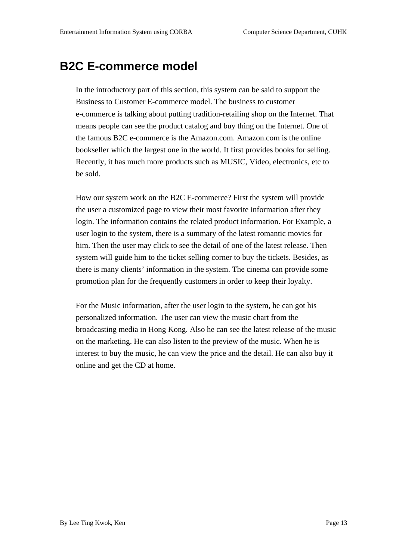#### **B2CE** -commerce model

In the introductory part of this section, this system can be said to support the Business to Customer E -commerce model. The business to customer e-commerce is talking about putting tradition-retailing shop on the Internet. That means people can see the product catalog and buy thing on the Internet. One of the famous B2Ce -commerce is the Amazon.com. Amazon.com is the online bookseller which the largest one in the world. It first provides books for s selling. Recently, it has much more products such as MUSIC, Video, electronics, etc to be sold.

Howour system work on the B2CE -commerce? First the system will provide the user a customized page to view their most favorite information after they login. Th einformation contains the related product information. For Example, a userloginto the system, there is a summary of the latest romantic movies for him. Then the user may click to see the detail of one of the latest release. Then system will guide him to the tickets elling corner to buy the tickets. Besides, as there is many clients' information in the system. The cinema can provide some promotion plan for the frequently customers in order to keep their loyalty.

For the Music information, after the user login to the system, he can goth is personalized information. The user can view the music chart from the broadcasting media in Hong Kong. Also he can see the latest release of the music on the marketing. He can also listen to the preview of the music. Whe nheis interest to buy the music, he can view the price and the detail. He can also buy it online and get the CD at home.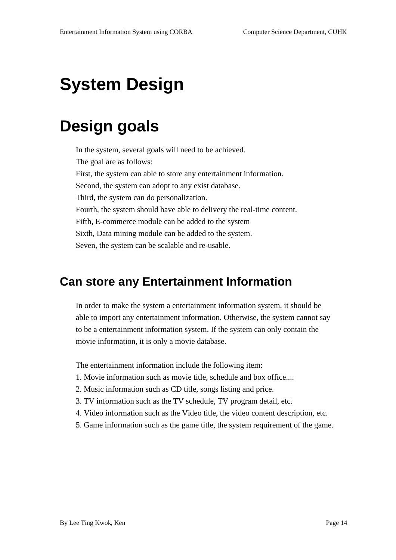# **System Design**

## **Design goals**

In the system, several goals will need to be achieved. The goal areas follows: First, the system can nable to store any entertainment information. Second, the system can adopt to any exist database. Third, the system can doper sonalization. Fourth, the systems hould have able to delivery the real -time content. Fifth, E-commerce module can be added to the system Sixth, Data mining module can be added to the system. Seven, the system can be scalable and re -usable.

#### **Can store any Entertainment Information**

In order to make the system a entertainment information system, it should be able to importany ent ertainment information. Otherwise, the system cannots ay to be a entertainment information system. If the system can only contain the movie information, it is only a movie database.

The entertainment information include the following item:

- 1. Movie informat ion such as movie title, schedule and box office....
- 2. Music information such as CD title, songs listing and price.
- 3. TV information such as the TV schedule, TV programdetail, etc.
- 4. Videoinformation such as the Video title, the video content description, etc.
- 5. Game information such as the game title, the system requirement of the game.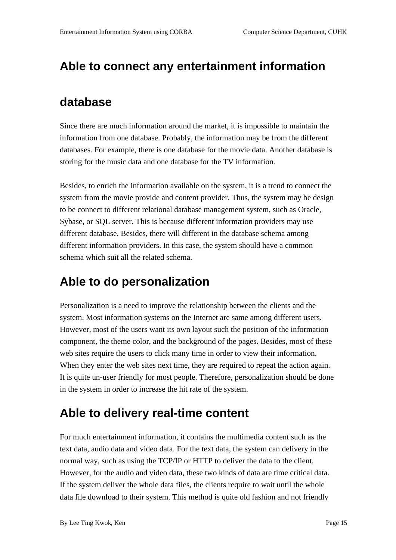#### **Able to connect any entertainment information**

#### **database**

Since there are much information around the market, it is impossible to maintain the information from one database. Probab ly, the information may be from the different databases. For example, there is one database for the movie data. Another database is storing for the music data and one database for the TV information.

Besides, to enrich the information available on the sy stem, it is a trend to connect the system from the movie provide and content provider. Thus, the system may be design to be connect to different relational database management system, such as Oracle, Sybase, or SQL server. This is because different informa tion providers may use different database. Besides, there will different in the databases chema among different information providers. In this case, the system should have a common schema which suitall the related schema.

#### **Able to do personalization**

Personalization is a need to improve the relationship between the clients and the system. Most information systems on the Internet are same among different users. However, most of the users want its own layout such the position of the information component, the theme color, and the background of the pages. Besides, most of these websites require the users to click many time in order to view their information. When the yenter the websites next time, they are required to repeat the action again. Itisquite un -user friendly for most people. Therefore, personalization should be done in the system in order to increase the hitrate of the system.

#### **Able to delivery real -time content**

For much entertainment information, it contains the multimedia content such as the text data, audio data and video data. For the text data, the system can delivery in the normal way, such as using the TCP/IP or HTTP to deliver the data to the client. However, for the audio and video data, these two kinds of data are time critical data. If the system deliver the whole data files, the clients require to wait until the whole data file download to their system. This method is quite old fashion and not friendly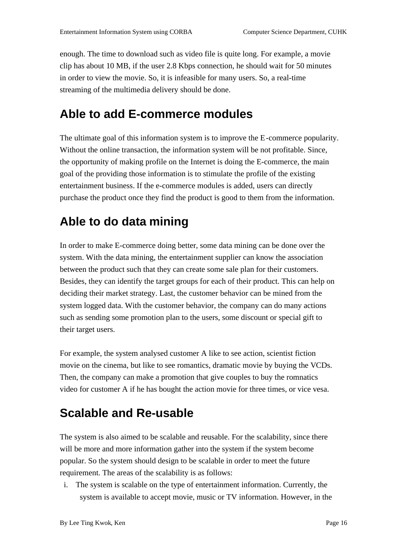enough. The time to download such as video file is quite long. For example, a movie clip has about 10 MB, if the user 2.8 Kbps connection, he should wait for 50 minutes in order to view the movie. So, it is infeasible for many users. So, are all  $\qquad \qquad$ -time streaming of the multimedia delivery should be done.

#### **Able to add E -commerce modules**

The ultim ate goal of this information system is to improve the E -commerce popularity. Without the online transaction, the information system will be not profitable. Since, the opportunity of making profile on the Internetis doing the E -commerce, the main goal of the providing those information is to stimulate the profile of the existing entertainment business. If the e -commerce modules is added, users can directly purchase the product once they find the product is good to them from the information.

### **Able to do data mining**

Inordertomake E -commercedoing better, some data mining can be done over the system. With the data mining, the entertainment supplier can know the association between the product such that they can create some sale plan for their customers. Besides, they can identify the target groups for each of their product. This can help on deciding their market strategy. Last, the customer behavior can be mined from the system logged data. With the customer behavior, the company can domany actions such ass ending some promotion plant other users, some discount or special gift to their target users.

For example, the system analysed customer Alike to see action, scientist fiction movie on the cinema, but like to see romantics, dramatic movie by buying the V CDs. Then, the company can make a promotion that give couples to buy the romnatics videoforcustomer Aifhe has bought the action movie for three times, or vice vesa.

### **Scalableand Re** -usable

The systemis also aimed to be scalable and reusable. For the s calability, since there will be more and more information gather into the system if the system become popular. So the system should design to be scalable in order to meet the future requirement. The areas of the scalability is as follows:

i. The systemiss ca lable on the type of entertainment information. Currently, the systemisavailable to accept movie, music or TV information. However, in the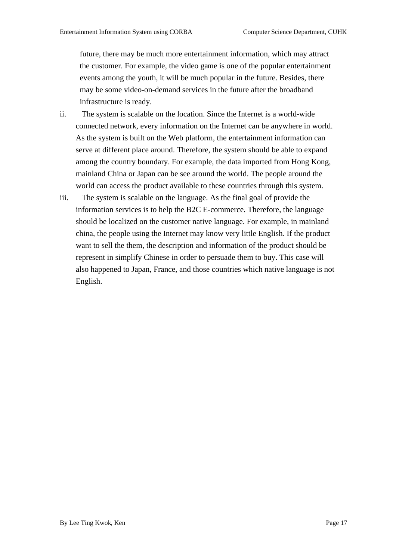future, there may be much more entertainment information, which may attract the customer. For example, the videoga meisone of the popular entertainment events among the youth, it will be much popular in the future. Besides, there may be some video -on-demand services in the future after the broadband infrastructure is ready.

- ii. The system is scalable on the location. Si nce the Internet is a world -wide connected network, every information on the Internet can be anywhere in world. As the system is built on the Web platform, the entertainment information can serveat different place around. Therefore, the system should be a ble to expand among the country boundary. For example, the data imported from Hong Kong, mainland China or Japan can be see around the world. The people around the world can access the product available to these countries through this system.
- iii. The system is scalable on the language. As the final goal of provide the informationservices is to help the B2CE -commerce. Therefore, the language should be localized on the customer native language. For example, in mainland china, the people using the Internet may k now very little English. If the product want to sell the them, the description and information of the products hould be represent in simplify Chinese in order to persuade them to buy. This case will also happened to Japan, France, and those countries which native language is not English.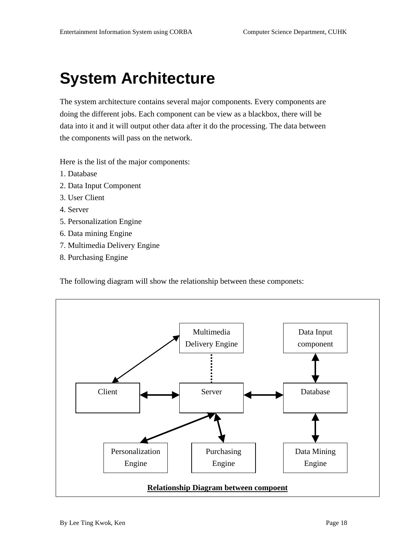## **System Architecture**

The system architecture contains several major components. Every components are doing the different jobs. Each component can be view as a blackbox, there will be data into it and it will output ot her data after it do the processing. The data between the components will pass on the network.

Here is the list of the major components:

- 1. Database
- 2. DataInputComponent
- 3. UserClient
- 4. Server
- 5. Personalization Engine
- 6. Datamining Engine
- 7. Multimedia Delivery Engine
- 8. Purchasing Engine

The following diagram will show the relationship between these componets:

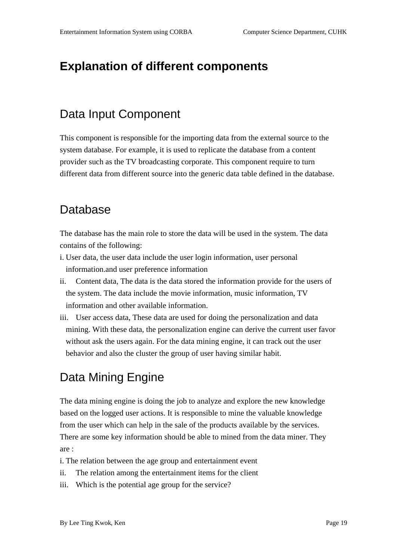#### **Explanation of different components**

#### DataInput Component

This component is responsible for the importing data from the external source to the systemdatabase. For example, it is used to replicate the database from a content provider such as the TV broadcasting corporate. This component require to turn different data from different source into the generic data table defined in the database.

#### Database

The database has the main role to store the data will be used in the system. The data contains of the following:

- i. Userdata, the user data include the user login information, user personal information.and user preference information
- ii. Content data, The data is the data stored the information provide for the users of the system. The data include the movie information, music information, TV information and other available information.
- iii. User access data, These data are used for doing the personalization and data mining. With these data, the personalization engine can derive the current user favor without ask the users again. For the data mining engine, it can track out the user behavior and also the cluster the group of user having similar habit.

#### DataMining Engine

The data mining engine is doing the job to analyze and explore the new knowledge based on the logged user actions. It is responsible to mine the valuable knowledge from the user which can help in the sale of the products available by the services. There are some key information should be able to mined from the data miner. They are :

- i. The relation between the age group and entertainment event
- ii. The relation among the entertainment items for the client
- iii. Which is the potential age group for the service?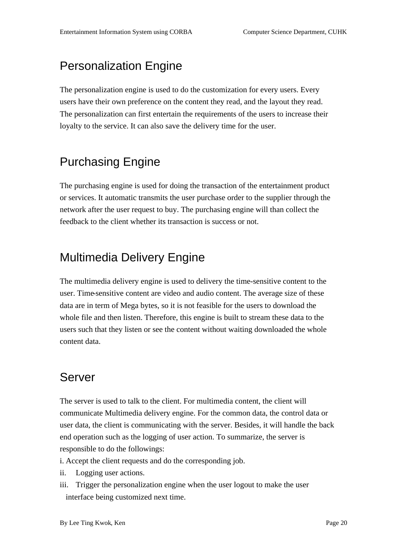#### **Personalization Engine**

The personalization engine is used to do the customization for every users. Every users have their own preference on the content they read, and the layout they read. The personalization can first entertain the requirements of the users to increase their loyalty to theservice. It can also save the delivery time for the user.

### Purchasing Engine

The purchasing engine is used for doing the transaction of the entertainment product or services. It automatic transmits the user purchase order to the supplier through the network after the user request to buy. The purchasing engine will than collect the feedback to the client whether its transaction is success or not.

#### **Multimedia Delivery Engine**

The multimedia delivery engine is used to deliver ythe time -sensitive content to the user. Time -sensitive contentare video and audio content. The average size of these data are interm of Mega bytes, so it is not feasible for the users to download the whole file and then listen. Therefore, this engine is built to stream these data to the users such that they listen or see the content without waiting downloaded the whole content data.

#### Server

The server is used to talk to the client. For multimedia content, the client will communicate Multimedia delivery engine. For the commondata, the control data or user data, the client is communicating with the server. Besides, it will handle the back end operation such as the logging of user action. To summarize, the server is responsible to do the followings:

- i. Acceptthe client requests and do the corresponding job.
- ii. Loggingus eractions.
- iii. Trigger the personalization engine when the user logout to make the user interface being customized next time.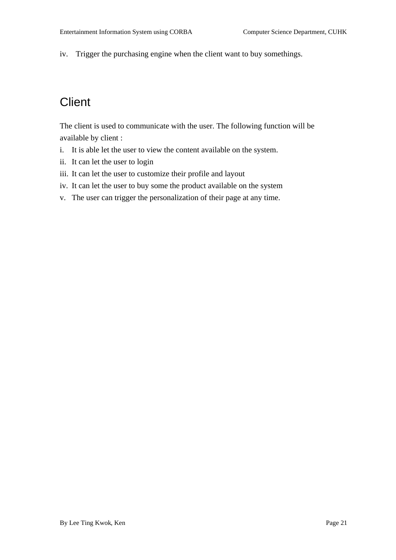iv. Trigger the purchasing engine when the client want to buy somethings.

### **Client**

The client is used to communicate with the user. The following function will be available by client:

- i. It is able let the user to view the content available on the system.
- ii. It can let the user to login
- iii. It can let the user to customize their profile and a dlayout
- iv. It can let the user to buy some the product available on the system
- v. The user can trigger the personalization of their page at any time.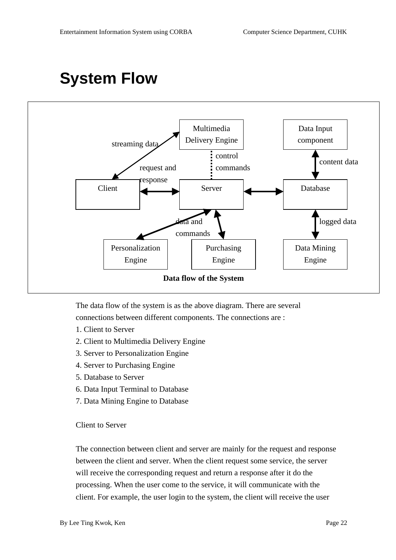## **System Flow**



The data flow of the system is as the above diagram. The rearese veral connections between different components. The connections are:

- 1. Clientto Server
- 2. Clientto Multimedia Delivery Engine
- 3. ServertoPersonalizationEngine
- 4. Serverto Purchasing Engine
- 5. Databaseto Server
- 6. Data Input Terminal to Database
- 7. DataMiningEnginetoDatabase

#### **Clientto Server**

The connection between client and server are mainly for the request and response between the client and server. When the client request some service, the server will receive the corresponding request and return are sponse after it do the processing. When the user come to the service, it will communicate with the client. For example, the user login to the system, the client will receive the user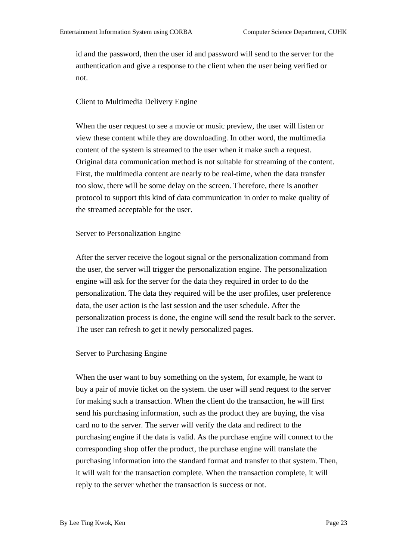id and the password, then the user id and password will send to the server for the authentication and give a response to the client when the user being verified or not.

#### Client to Multimedia Delivery Engine

When the user request to see a movie or music preview, the user will listen or view these content while the yaredownloading. In other word, the multimedia content of the system is streamed to the user when it makes uch are quest. Original data communication method is not suitable for streaming of the content. First, the multimedia content are nearly to be real -time, when the data transfer tooslo w, there will be some delay on the screen. Therefore, there is another protocol to support this kind of data communication in order to make quality of the streamed acceptable for the user.

#### Serverto Personalization Engine

After theserver receive the log outsignal or the personalization command from the user, the server will trigger the personalization engine. The personalization engine will ask for the server for the data they required in order to do the personalization. The data they required will be the user profiles, user preference data, the user action is the last session and the users chedule. After the personalization process is done, the engine will send the result back to the server. The user can refresh to get it newly personalized pages.

#### ServertoPurchasing Engine

When the user want to buy some thing on the system, for example, he want to buy a pair of movie ticket on the system. the user will send request to the server for making such a transaction. When the client dothe transaction, he will first send his purchasing information, such as the product they are buying, the visa card noto the server. The server will verify the data and redirect to the purchasing engine if the data is valid. As the purchase engine will connect to the corresponding shop offer the product, the purchase engine will translate the purchasing information into the standard format and transfer to that system. Then, it will wait for the transaction complete. When the transaction complete, it will reply to the server whethe r the transaction is successor not.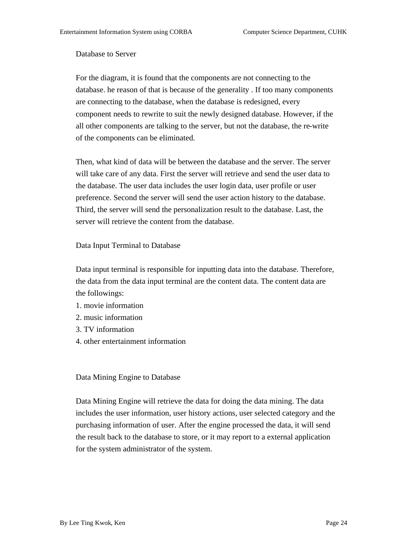#### Databaseto Server

For the diagram, it is found that the components are not connecting to the database. hereason of that is because of the generality. If too many components are connecting to the database, when the database is redesigned, every component needs to rewrite to suit the newly designed database. However, if the all other components are talking to the server, but not the database, there -write of the components can beel iminated.

Then, what kind of data will be between the database and the server. The server will take care of any data. First the server will retrieve and send the user data to the database. The user data includes the user login data, user profile or user preference. Second these rver wills end the user action history to the database. Third, the server will send the personalization result to the database. Last, the server will retrieve the content from the database.

#### DataInput Terminal to Database

Datainput terminal is responsible for input tring data into the database. Therefore, the data from the data input terminal are the content data. The content data are the followings:

- 1. movie information
- 2. music information
- 3. TV information
- 4. otherentertainment information

#### DataMining Engine to Database

Data Mining Engine will retrieve the data for doing the data mining. The data includes the user information, user history actions, users elected category and the purchasing information of user. After the engine processed the data, it will send the result b ack to the database to store, or it may report to a external application for the system administrator of the system.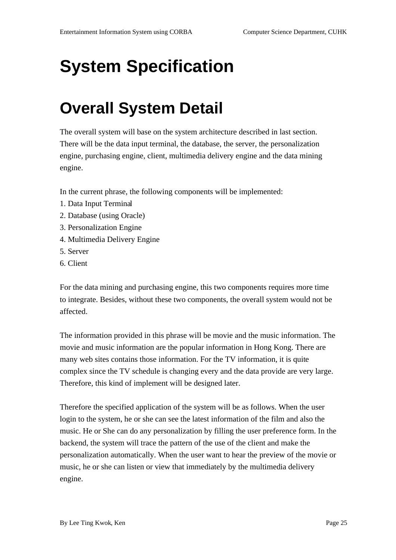# **System Specification**

## **Overall System Detail**

The overall system will base on the system architecture described in last section. Therewi llbethedatainputterminal, the database, the server, the personalization engine, purchasing engine, client, multimedia delivery engine and the data mining engine.

In the current phrase, the following components will be implemented:

- 1. DataInput Termina 1
- 2. Database (using Oracle)
- 3. Personalization Engine
- 4. Multimedia Delivery Engine
- 5. Server
- 6. Client

For the data mining and purchasing engine, this two components requires more time to integrate. Besides, without these two components, the overall system would not b e affected.

The information provided in this phrase will be movie and the music information. The movie and music information are the popular information in Hong Kong. There are many web sites contains those information. For the TV information, it is quite e complex since the TV schedule is changing every and the data provide are very large. Therefore, this kind of implement will be designed later.

Therefore the specified application of the system will be as follows. When the user login to the system, he or she can see the latest information of the film and also the music. Heor She can do any personalization by filling the user preference form. In the backend, the system will trace the pattern of the use of the client and make the personalization automatica lly. When the user want to hear the preview of the movie or music, he or she can listen or view that immediately by the multimedia delivery engine.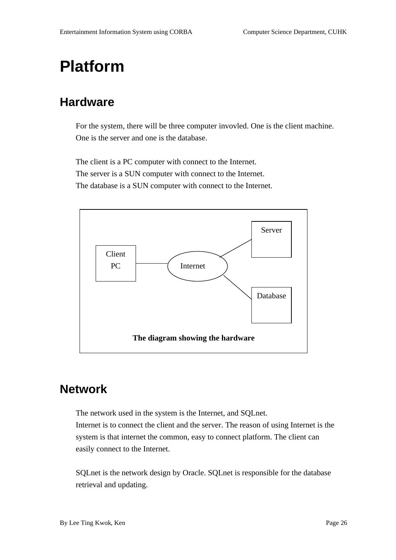## **Platform**

#### **Hardware**

For the system, there will be three computer invovled. One is the client machine. Onei stheserver and one is the database.

The client is a PC computer with connect to the Internet. TheserverisaSUNcomputerwith connect to the Internet. The database is a SUN computer with connect to the Internet.



#### **Network**

The network us edinthesystem is the Internet, and SQLnet. Internet is to connect the client and the server. The reason of using Internet is the system is that internet the common, easy to connect platform. The client can easily connect to the Internet.

SQLnetisthe network design by Oracle. SQLnet is responsible for the database retrieval and updating.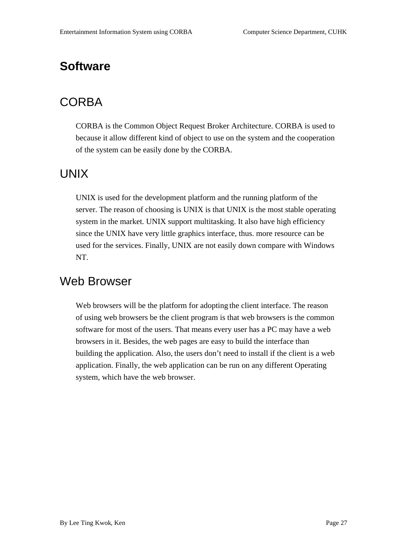#### **Software**

#### **CORBA**

CORBA is the Common Object Request Broker Architecture. CORBA is used to because it allow different kind of object to use on the system and the cooper ation of the system can be easily done by the CORBA.

#### UNIX

UNIX is used for the development platform and the running platform of the server. The reason of choosing is UNIX is that UNIX is the most stable operating system in the market. UNIX support multita sking. It also have higher ficiency since the UNIX have very little graphics interface, thus. more resource can be used for these rvices. Finally, UNIX are note as ilydown compare with Windows NT.

#### WebBrowser

Webbrowsers will be the platform for adopting the client interface. The reason of using web browsers be the client program is that we b browsers is the common softwareformostoftheusers. That means every user has a PC may have a web browsers in it. Besides, the web pages are easy to build the inter face than building the application. Also, the users don 't need to install if the client is a web application. Finally, the webapplication can be run on any different Operating system, which have the web browser.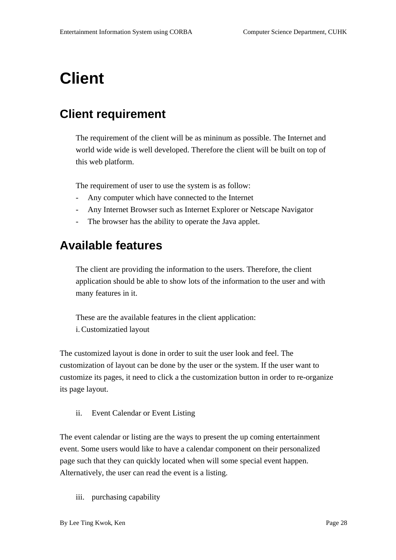## **Client**

#### **Client requirement**

The requireme nto fthe client will be as mininum as possible. The Internet and world wide wide is well developed. Therefore the client will be built on top of this web platform.

The requirement of user to use the system is as follow:

- Any computer which have connected to the Internet
- Any Internet Browser such as Internet Explorer or Nets cape Navigator
- The browser has the ability to operate the Java applet.

#### **Available features**

The clientare providing the information to the users. Therefore, the client application should be able to show lots of the information to the user and with many features in it.

These are the available features in the client application: i. Customizatied layout

The customized layout is done in order to suit the user look and feel. The customization of layout can be done by the user or the system. If the user want to customizeits pages, it need to click a the customization button in order to reganize its page layout.

ii. EventCalendarorEventListing

The event calendar or listing are the ways top resent the upcoming entertainment event. Some users would like to have a calendar component on their personalized page such that they can quickly located when will some special even thappen. Alternatively, the user can read the event is alisting.

iii. purchasing capability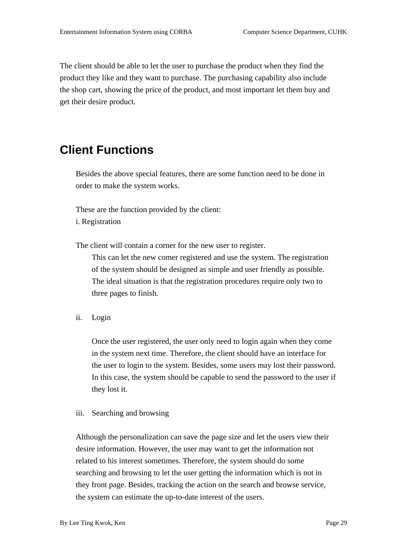The clientshould be able to let the user to purchase the product when the y find the product they like and they want to purchase. The purchasing capability also include the shopcart, showing the price of the product, and most important le them buy and get their desire product.

#### **Client Functions**

Besides the above special features, there are some function need to be done in order to make the system works.

These are the function provided by the client:

i. Registration

The client will conta in a corner for the new user to register.

This can let the new comer registered and use the system. The registration of the system should be designed as simple and user friendly as possible. The ideal situation is that the registration procedures require only two to three pages to finish.

ii. Login

Once the user registered, the user only need to loginagain when they come in the system next time. Therefore, the clientshould have an interface for the usertologin to the system. Besides, some users may lost their password. In this case, the system should be capable to send the password to the user if they lostit.

#### iii. Searching and browsing

Although the personalization can save the page size and let the users view their desire information. However, the user may ywant to get the information not related to his interest sometimes. Therefore, the system should do some searching and browsing to let the usergetting the information which is not in they front page. Besides, tracking the action on the search and browse service, the system can estimate the up -to-date interest of the users.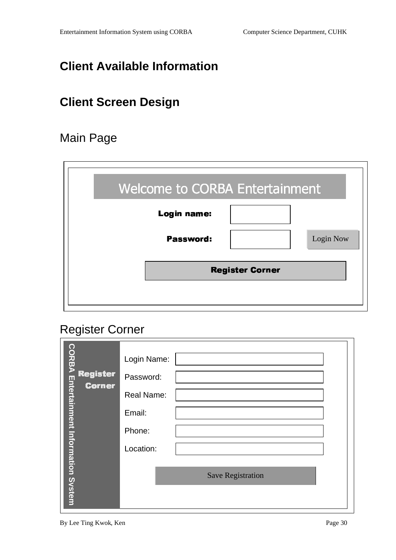### **Client Available Information**

### **Client Screen Design**

#### **MainPage**

| <b>Welcome to CORBA Entertainment</b> |          |
|---------------------------------------|----------|
| Login name:                           |          |
| Password:                             | LoginNow |
| <b>Register Corner</b>                |          |
|                                       |          |

#### **RegisterCorner**

|                                            | LoginName:       |
|--------------------------------------------|------------------|
| Register                                   | Password:        |
| <b>Corner</b>                              | RealName:        |
|                                            | Email:           |
|                                            | Phone:           |
|                                            | Location:        |
| <b>CORBAEntertainmentInformationSystem</b> | SaveRegistration |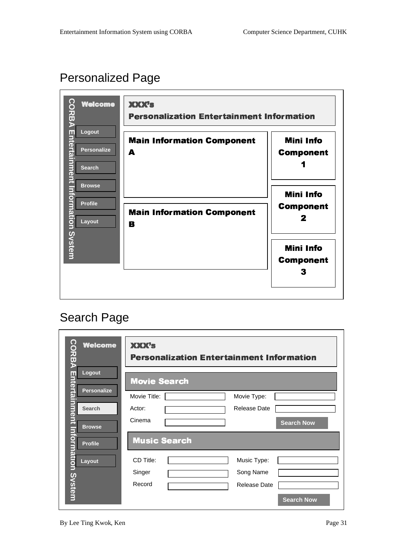### PersonalizedPage



| <b>CORBAEINE ALEMENT DE REALEMENT DE REALIST</b><br><b>Welcome</b> | <b>XXXX's</b><br><b>Personalization Entertainment Information</b> |
|--------------------------------------------------------------------|-------------------------------------------------------------------|
| Logout                                                             | <b>Movie Search</b>                                               |
| <b>Personalize</b>                                                 | MovieTitle:<br>MovieType:                                         |
| <b>Search</b>                                                      | <b>ReleaseDate</b><br>Actor:                                      |
| <b>Browse</b>                                                      | Cinema<br><b>SearchNow</b>                                        |
| <b>Profile</b>                                                     | <b>Music Search</b>                                               |
| rmationSystem<br>Layout                                            | CDTitle:<br>MusicType:                                            |
|                                                                    | SongName<br>Singer                                                |
|                                                                    | Record<br><b>ReleaseDate</b>                                      |
|                                                                    | <b>SearchNow</b>                                                  |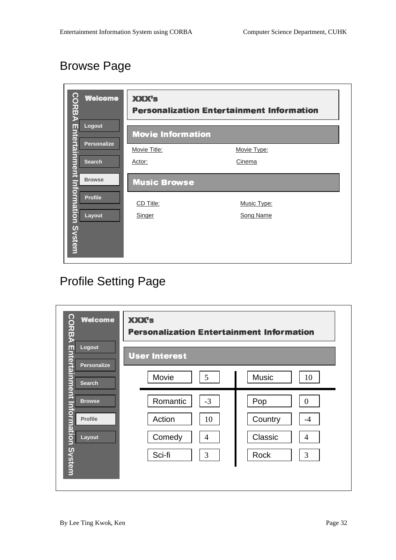### **BrowsePage**

| <b>CORBAEntertainment</b><br><b>Welcome</b> | <b>XXX's</b>             | <b>Personalization Entertainment Information</b> |
|---------------------------------------------|--------------------------|--------------------------------------------------|
| Logout                                      | <b>Movie Information</b> |                                                  |
| <b>Personalize</b>                          | MovieTitle:              | MovieType:                                       |
| <b>Search</b>                               | Actor:                   | Cinema                                           |
| <b>Browse</b>                               | <b>Music Browse</b>      |                                                  |
| <b>Profile</b>                              | CDTitle:                 | MusicType:                                       |
| Layout                                      | Singer                   | SongName                                         |
| <b>InformationSystem</b>                    |                          |                                                  |

## **ProfileSettingPage**

| <b>CORBAEntertainment</b><br><b>Welcome</b> | <b>XXX's</b><br><b>Personalization Entertainment Information</b> |                           |
|---------------------------------------------|------------------------------------------------------------------|---------------------------|
| Logout<br><b>Personalize</b>                | <b>User Interest</b>                                             |                           |
| <b>Search</b>                               | 5<br>Movie                                                       | <b>Music</b><br>10        |
| <b>Browse</b>                               | $-3$<br>Romantic                                                 | Pop<br>$\Omega$           |
| <b>Profile</b>                              | Action<br>10                                                     | Country<br>$-4$           |
| Layout                                      | Comedy<br>$\overline{4}$                                         | Classic<br>$\overline{4}$ |
| <u>nformationSystem</u>                     | 3<br>Sci-fi                                                      | 3<br>Rock                 |
|                                             |                                                                  |                           |
|                                             |                                                                  |                           |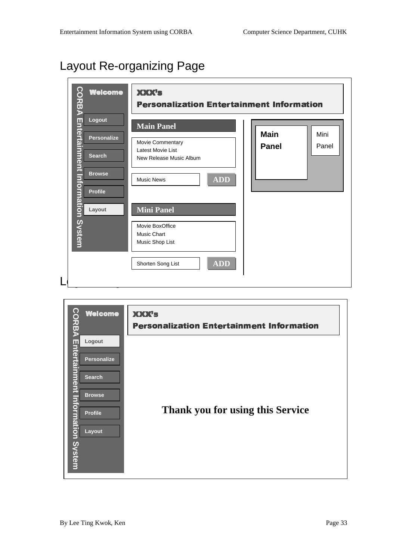#### LayoutRe -organizing Page

| <b>Welcome</b>                                              | <b>XXX's</b><br><b>Personalization Entertainment Information</b> |                       |
|-------------------------------------------------------------|------------------------------------------------------------------|-----------------------|
|                                                             |                                                                  |                       |
| Logout                                                      | <b>MainPanel</b>                                                 |                       |
| <b>Personalize</b>                                          | MovieCommentary                                                  | <b>Main</b><br>Mini   |
|                                                             | LatestMovieList                                                  | <b>Panel</b><br>Panel |
| <b>Search</b>                                               | NewReleaseMusicAlbum                                             |                       |
| <b>CORBAEntertainmentInformationSystem</b><br><b>Browse</b> | <b>ADD</b><br><b>MusicNews</b>                                   |                       |
| <b>Profile</b>                                              |                                                                  |                       |
| Layout                                                      | <b>MiniPanel</b>                                                 |                       |
|                                                             | <b>MovieBoxOffice</b>                                            |                       |
|                                                             | <b>MusicChart</b>                                                |                       |
|                                                             | MusicShopList                                                    |                       |
|                                                             | $\overline{\bf ADD}$<br>ShortenSongList                          |                       |
|                                                             |                                                                  |                       |

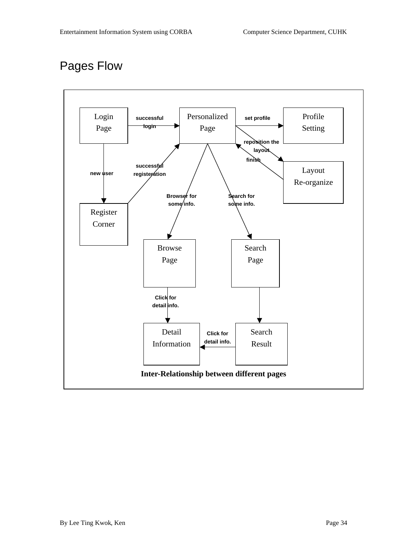#### PagesFlow

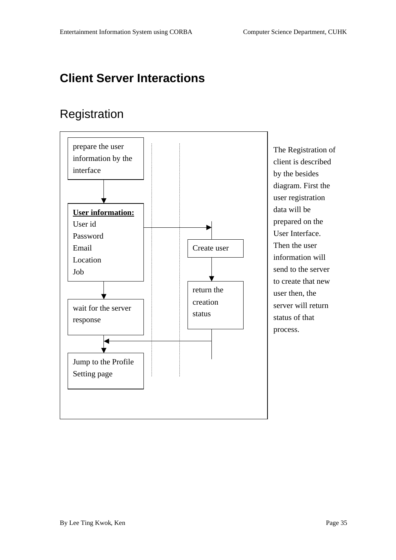### **Client Server Interactions**

#### Registration



**The Registration of** clientisdescribed by the besides diagram. First the userregistration datawillbe prepared on the UserInterface. **Then the user** information will sendtotheserver to create that new userthen, the serverwillreturn status of that process.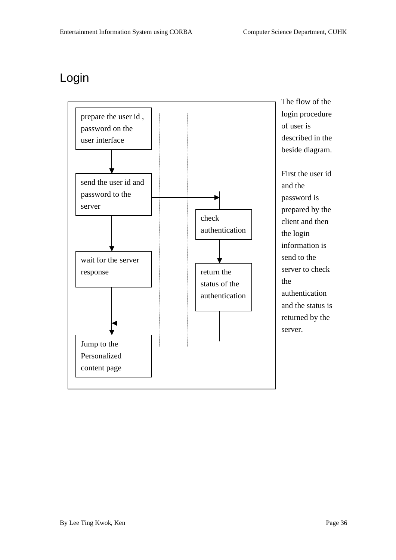#### Login

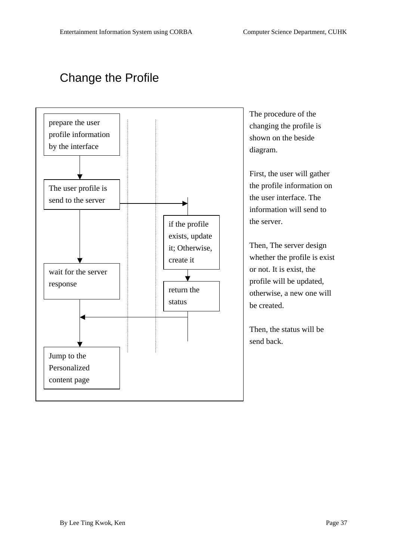### **ChangetheProfile**



The procedure of the changing the profile is shown on the beside diagram.

First, the user will gather the profile information on the user interface. The information will send to theserver.

Then, Theserverdesign whetherthe profile is exist ornot. It is exist, t he profile will be updated, otherwise, anew one will becreated.

Then, the status will be sendback.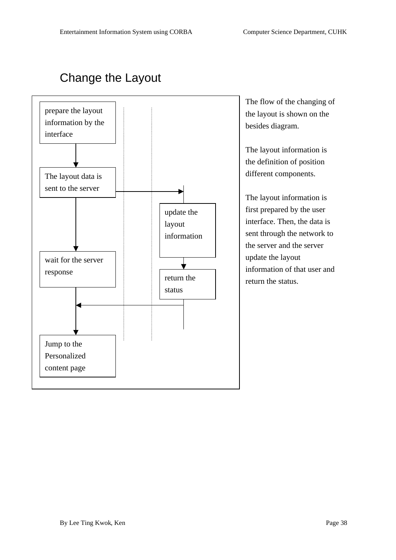### ChangetheLayout



The flow of the changing of the layoutis shown on the besides diagram.

The layout information is the definition of po sition different components.

The layout information is firstpreparedbytheuser interface. Then, the data is sentthroughthenetworkto theserver and the server updatethelayout information of that user and return the status.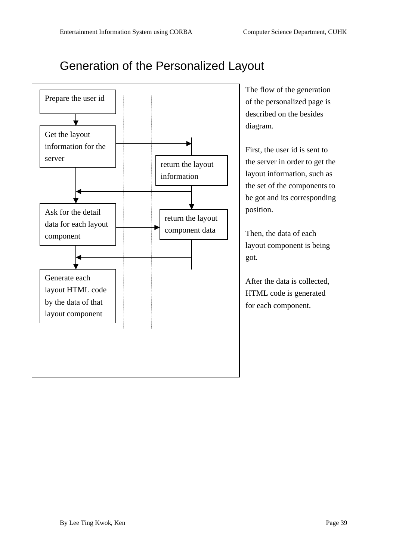#### Generation of the Personalized Layout



**The flow of the generation** of the personalized page is described on the besides diagram.

First, the user idissent to theserver in order to get the layoutinformation, such as thesetofthe<br>components to begotanditsco rresponding position.

Then, the data of each layout component is being got.

After the data is collected, HTML code is generated foreach component.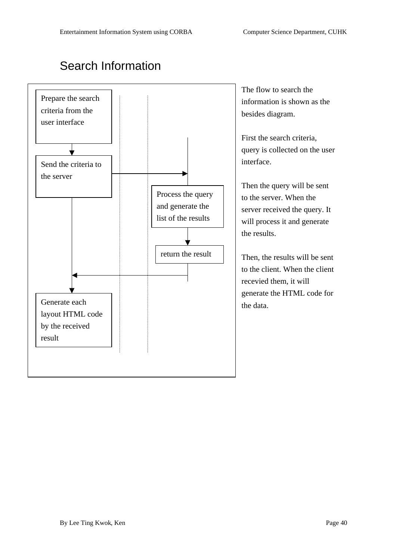#### **SearchInformation**



The flow to search the information is shown as the besides diagram.

First these archeriteria, query is collected on the user interface.

Then the query will be sent to the server. When the serverreceived the query. It will process it and generate theresults.

Then, the results will be sent to the client. When the client recevied them, it will generate the HTML code for the data.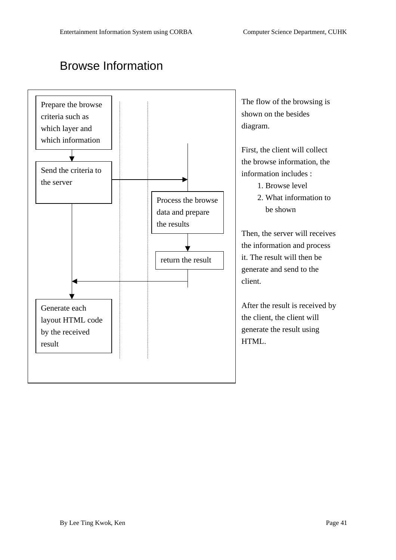#### **BrowseInformation**

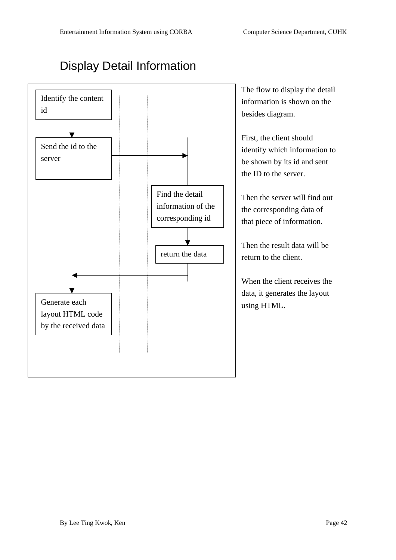#### **Display Detail Information**



The flow to display the detail information is shown on the

identify which information to

the corresponding d ataof

When the client receives the data, it generates the layout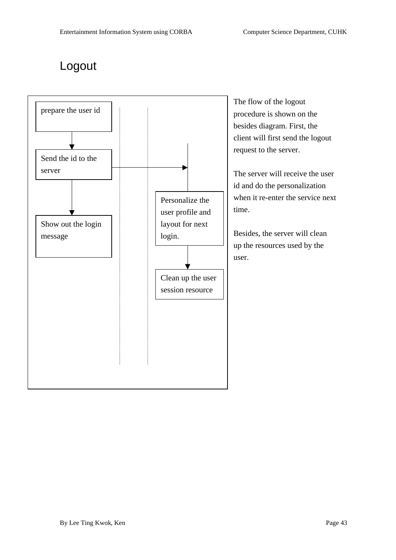#### Logout



The flow of the logout procedure is shown on the besides diagram. First, the client will first send the logout request to the server.

Theserver will receive the user id and do the personalization when itre -enter these rvice next

Besides, the server will clean up the resources used by the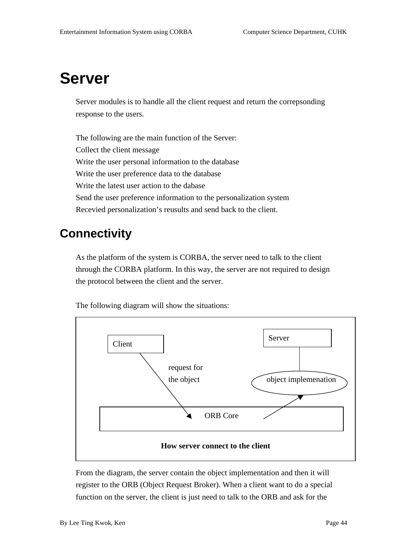## **Server**

Server modules is to handle all the client request and return the correpsonding response to the users.

The following are the main function of the Server: Collect the client message Write the user personal information to the database Write the user preference data to the edatabase Write the latest user action to the dabase Send the user preference information to the personalization system Recevied personalization's reusults and send back to the client.

#### **Connectivity**

As the platform of the system is CORBA, the server need total k to the client through the CORBA platform. In this way, the server are not required to design the protocol between the client and the server.

The following diagram will show the situations:



From the diagram, the server contain the obj ectimplementation and then it will register to the ORB (Object Request Broker). When a client want to do a special function on the server, the client is just need to talk to the ORB and ask for the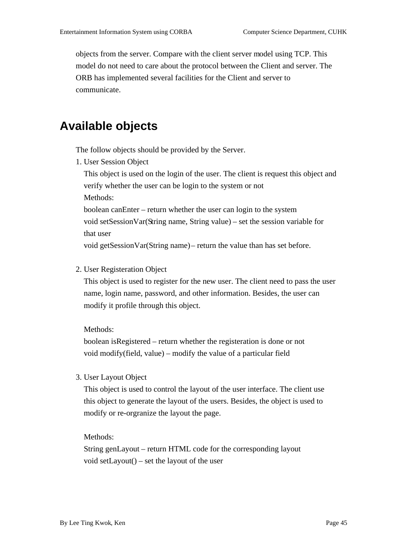objects from the server. Compare with the client server m odel using TCP. This model do not need to careabout the protocol between the Client and server. The ORB has implemented several facilities for the Client and server to communicate.

#### **Available objects**

The follow objects should be provided by the Server.

1. User Session Object

This object is used on the login of the user. The client is request this object and verify whether the user can be login to the system or not Methods:

boolean can Enter – return whether the user can login to the system

void setSession Var (String name, String value) – set these signivariable for thatuser

voidgetSessionVar(Stringname) – return the value than has set before.

2. User Registeration Object

This object is used to register for the new user. The client need to pass the user name, l oginname, password, and other information. Besides, the user can modify it profile through this object.

Methods:

boolean is Registered – return whether the registeration is done or not void modify(field, value) – modify the value of a particular field

3. UserLayoutObject

This object is used to control the layout of the user interface. The clientuse this object to generate the layout of the users. Besides, the object is used to modify orre -orgranize the layout the page.

Methods:

String genLayout – return HTML code for the corresponding layout voidsetLayout() -setthelayout of the user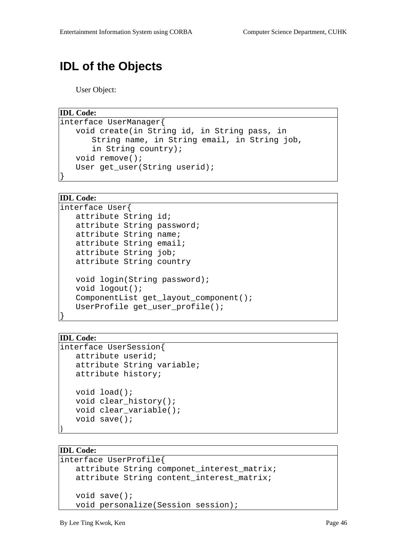#### **IDL of the Objects**

UserObject:

```
IDL Code:
```

```
interface UserManager{
   void create(in String id, in String pass, in 
      String name, in String email, in String job, 
      in String country);
   void remove();
   User get_user(String userid);
}
```
#### **IDL Code:**

```
interface User{
   attribute String id;
   attribute String password;
   attribute String name;
   attribute String email;
   attribute String job;
   attribute String country
   void login(String password);
   void logout();
   ComponentList get_layout_component();
   UserProfile get_user_profile();
```
#### **IDL Code:**

}

```
interface UserSession{
   attribute userid;
   attribute String variable;
   attribute history;
   void load();
   void clear_history();
   void clear_variable();
   void save();
}
```
#### **IDL Code:**

```
interface UserProfile{
   attribute String componet_interest_matrix;
   attribute String content_interest_matrix;
   void save();
   void personalize(Session session);
```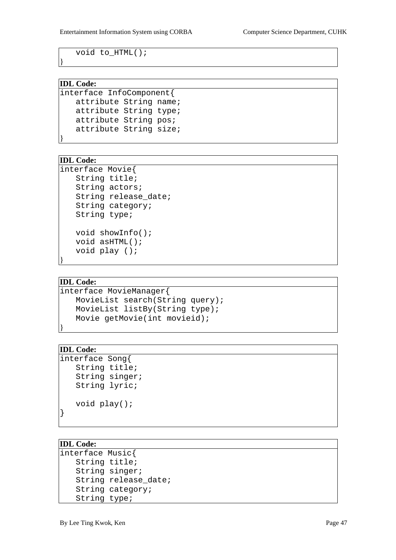void to\_HTML();

#### **IDL Code:**

}

```
interface InfoComponent{
   attribute String name;
   attribute String type;
   attribute String pos;
   attribute String size;
}
```
#### **IDL Code:**

```
interface Movie{
   String title;
   String actors;
   String release_date;
   String category;
   String type;
   void showInfo();
   void asHTML();
   void play ();
```
#### **IDL Code:**

}

}

```
interface MovieManager{
   MovieList search(String query);
   MovieList listBy(String type);
   Movie getMovie(int movieid);
```
#### **IDL Code:**

```
interface Song{
   String title;
   String singer;
   String lyric;
   void play();
}
```
#### **IDL Code:**

```
interface Music{
   String title;
   String singer;
   String release_date;
   String category;
   String type;
```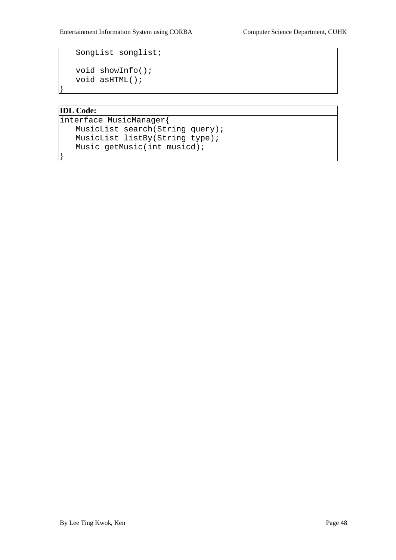SongList songlist;

```
void showInfo();
void asHTML();
```
#### **IDL Code:**

}

}

```
interface MusicManager{
   MusicList search(String query);
   MusicList listBy(String type);
   Music getMusic(int musicd);
```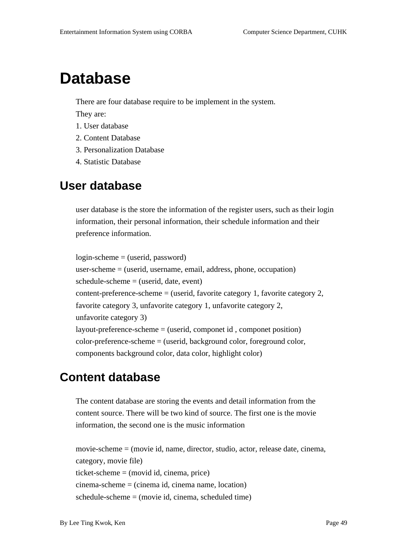## **Database**

There are four database require to be implement in the system.

They are:

- 1. Userdatabase
- 2. Content Database
- 3. Personalization Database
- 4. Statistic Database

#### **User database**

user database is the store the informat ion of the register users, such as their login information, their personal information, their schedule information and their preference information.

login-scheme=(userid, password) user-scheme=(userid, username, email, address, phone, occupation) schedule-scheme=(userid, date, event) content-preference-scheme=(userid, favorite category 1, favorite category 2, favorite category 3, unfavorite category 1, unfavorite category 2, unfavorite category 3) layout-preference-scheme=(userid, componetid, componet position) color-preference-scheme=(userid,backgroundcolor,foregroundcolor, components background color, data color, highlight color)

#### **Content database**

The content database are storing the events and detail information from the content source. There will be two kind of source. The first one is the movie information, the second one is the music information

movie-scheme=(movieid, name, director, studio, actor, releasedate, cinema, category, moviefile) ticket-scheme=(movidid, cinema, pric e) cinema-scheme=(cinemaid, cinemaname, location) schedule-scheme=(movieid, cinema, scheduled time)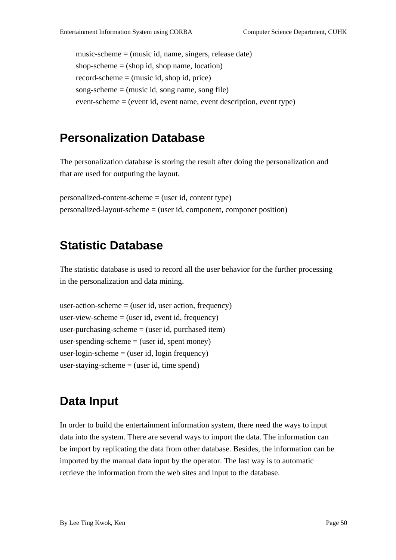music-scheme=(musicid, name, singers, releasedate) shop-scheme=(shopid, shop name, location) record-scheme=(musicid, shopid, price) song-scheme=(musicid, song name, song file) event-scheme=(eventid, event name, event description, event type)

#### **Personalization Database**

The personalization database is storing the result after doing the personalization and that are used for outputing the l ayout.

personalized-content-scheme=(userid, content type) personalized-layout-scheme=(userid, component, componet position)

#### **Statistic Database**

The statistic database is used to record all the user behavior for the further processing in the personal ization and data mining.

```
user-action-scheme=(userid, user action, frequency)
user-view-scheme=(userid, eventid, frequency)
user-purchasing-scheme=(userid, purchased item)
user-spending-scheme=(userid, spent money)
user-login-scheme=(userid ,loginfrequency)
user-staying-scheme=(userid, time spend)
```
#### **Data Input**

In order to build the entertainment information system, there need the ways to input data into the system. There are several ways to import the data. The information can be import by replicating the data from other database. Besides, the information can be imported by the manual data input by the operator. The last way is to automatic retrieve the information from the websites and input to the database.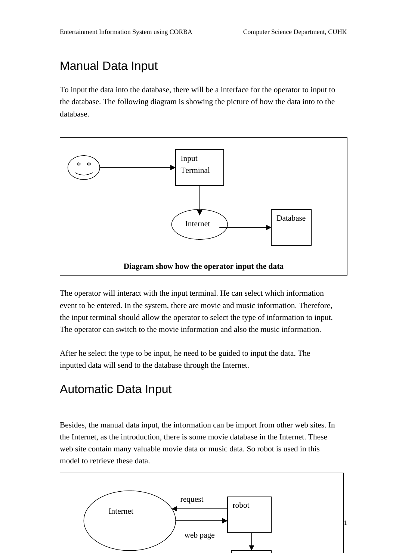### **ManualDataInput**

To input the data into the database, the rewill be a interface for the operator to input to the database. The following diagram is showing the picture of how the data into to the database.



The operator will interact with the input terminal. He can sequence the curvich information event to be entered. In the system, the reare movie and music information. Therefore, the inputterminal should allow the operator to select the type of information to input. The operator can switch to the movie information and also the music information.

Afterheselectthe type to be input, he need to be guided to input the data. The inputted data will send to the database through the Internet.

### Automatic Data Input

Besides, the manual data input, the information can be import from omother websites. In the Internet, as the introduction, there is some movie database in the Internet. These website contain many valuable movie data or music data. So robot is used in this model to retrieve these data.

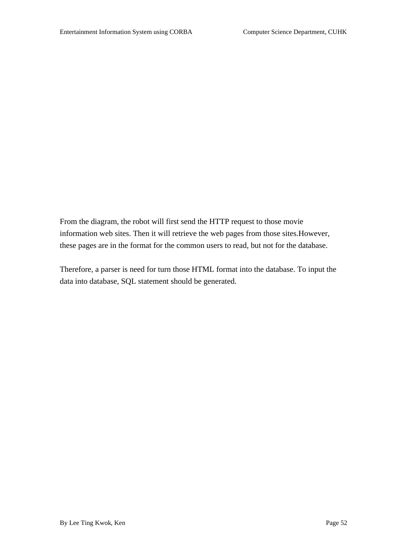From the diagram , the robot will first send the HTTP request to those movie information websites. Then it will retrieve the webpages from those sites. However, these pages are in the format for the common users to read, but not for the database.

 $\label{thm:main} Therefore, a parser is no-ed for turn those HTML for maintain to the database. To input the$ datainto database, SQL statementshould be generated.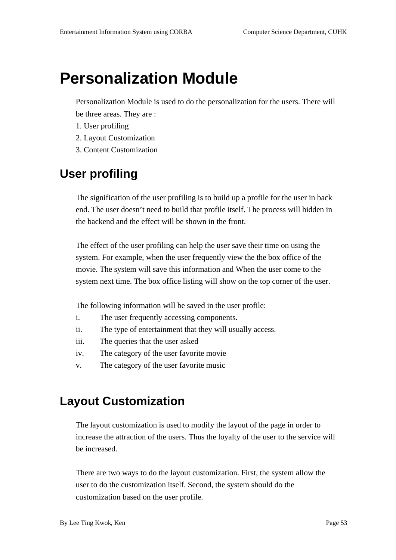## **Personalization Module**

Personalization Module is used to do the personalization for the users. The rewill be three areas. They are:

- 1. Userprofiling
- 2. LayoutCustomization
- 3. Content Customization

#### **User profiling**

The signification of the user profiling is to build up a profile for the user in back end. The user doesn't need to build that profile itself. The process will hidden in the backend and the effect will be shown in the front.

The effect of the user profiling can help the users a veth eir time on using the system. For example, when the user frequently view the the box office of the movie. The system will save this information and When the u sercome to the unit of the unit of the unit of the u system next time. The box office listing will show on the top corner of the user.

The following information will be saved in the user profile:

- i. The user frequently accessing components.
- ii. The type of entertainment that they will usually acces s.
- iii. The queries that the user asked
- iv. The category of the user favorite movie
- v. The category of the user favorite music

#### **Layout Customization**

The layout customization is used to modify the layout of the page in order to increase the attraction of the users. Thu sthe loyalty of the user to the service will be increased.

There are two ways to do the layout customization. First, the system allow the usertodothecustomizationitself. Second, the system should do the customization based on the user profile.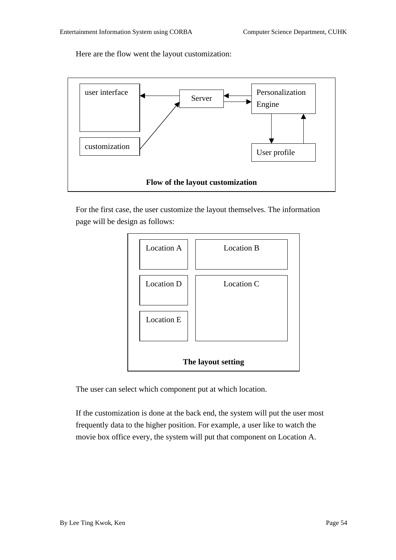Here are the flow went the layout customization:



For the first case, the user customize the layout themselves. The information page will be design as follows:



The user can select which component put at which location.

If the custom ization is done at the backend, the system will put the user most frequently data to the higher position. For example, a user like to watch the movie box office every, the system will put that component on Location A.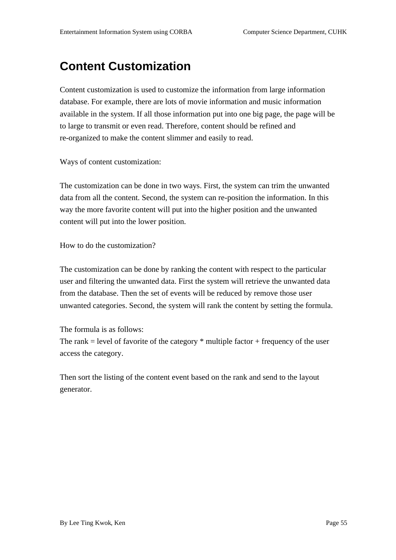#### **Content Customization**

Content cu stomization is used to customize the information from large information database. For example, there are lots of movie information and music information available in the system. If all those information put into one big page, the page will be tolargetot ransmitorevenread. Therefore, content should be refined and re-organized to make the content slimmer and easily to read.

Ways of content customization:

The customization can be done in two ways. First, the system can trim the unwanted data from all the content. Second, the system can re -position the information. In this way the more favorite content will put into the higher position and the unwanted content will put into the lower position.

How to do the customization?

The customization can be done by ranking the content with respect to the particular user and filtering the unwanted data. First the system will retrieve the unwanted data from the database. Then these to fevents will be reduced by remove those user unwanted categories. Second, the sys tem will rank the content by setting the formula.

#### The formulais as follows:

The rank = level of favorite of the category \* multiple factor + frequency of the user access the category.

Thensort the listing of the content event based on the rank and se and to the layout generator.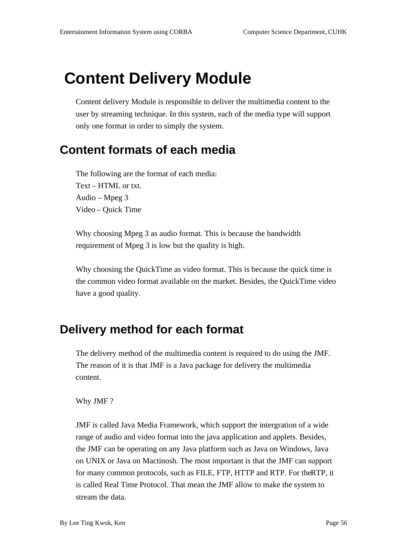## **Content Delivery Module**

Content delivery Module is responsible to deliver the multimedia content to the user by streaming technique. In this system, each of the media type will support only one formatin order to simply the system.

#### **Content formats of each media**

The following are the format of each media: Text-HTMLortxt. Audio  $-Mpeg3$ Video-QuickTime

Why choosing Mpeg 3 as audio format. This is because the bandwidth requirement of Mpeg3 is low but the quality is higher-

Why choosing the Quick Time as vide of ormat. This is because the quick time is the common video format available on the market. Besides, the QuickTime video have a good quality.

#### **Deliverymethodforeachformat**

The delivery method of the multimedia con tent is required to do using the JMF. The reason of it is that JMF is a Java package for delivery the multimedia content.

#### Why JMF?

JMF is called Java Media Framework, which support the intergration of a wide range of audio and video format into the jav application and applets. Besides, the JMF can be operating on any Java platform such as Java on Windows, Java on UNIX or Java on Mactinosh. The most important is that the JMF can support for many common protocols, such as FILE, FTP, HTTP and RTP. For the RTP, it iscalled Real Time Protocol. That mean the JMF allow to make the system to streamthedata.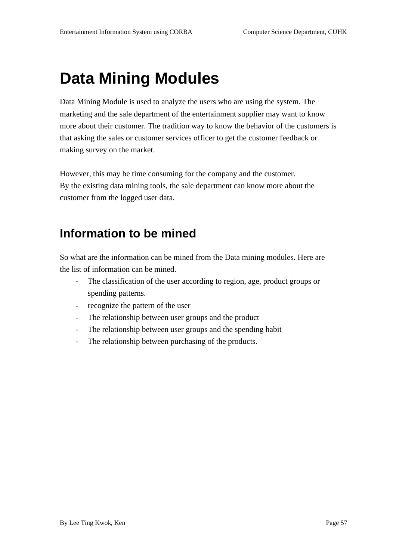## **Data Mining Modules**

DataMiningModule is used to analyze the users who are using the system. The marketing and the sale department of the entertainment supplier may want to know more about their customer. The tradition way to know the behavior of the customers is that asking the sales or customer services officer to get the customer feedback or making survey on the market.

However, this may be time consu ming for the company and the customer. By the existing data mining tools, the sale department can know more about the customer from the logged user data.

### **Information to be mined**

Sowhat are the information can be mined from the Datamining modules. Here are the list of information can be mined.

- The classification of the user according to region, age, product groups or spending patterns.
- recognize the pattern of the user
- The relationship between user groups and the product
- The relationship between user gr oups and the spending habit
- The relationship between purchasing of the products.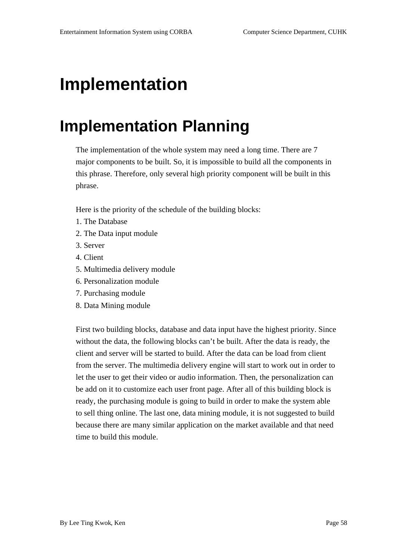## **Implementation**

## **Implementation Planning**

The implementation of the whole system may need along time. There are 7 major components to be built. So, it is impossible to build all the components in this phrase. Therefore, only several high priority component will be built in this phrase.

Here is the priority of the schedule of the building blocks:

- 1. The Database
- 2. The Datainput module
- 3. Server
- 4. Client
- 5. Multimedia delivery module
- 6. Personalization module
- 7. Purchasing module
- 8. DataMining module

First two building blocks, database and data input have the highest priority. Since without the data, the following blocks can't be built. After the data is ready, the client and server will be star ted to build. After the data can be load from client from the server. The multimedia delivery engine will start to work out in order to let the user to get their video or audio information. Then, the personalization can be addonitto customize each user front page. After all of this building block is ready, the purchasing module is going to build in order to make the system able to sell thing online. The last one, data mining module, it is not suggested to build because there are many similar application on the market available and that need time to build this module.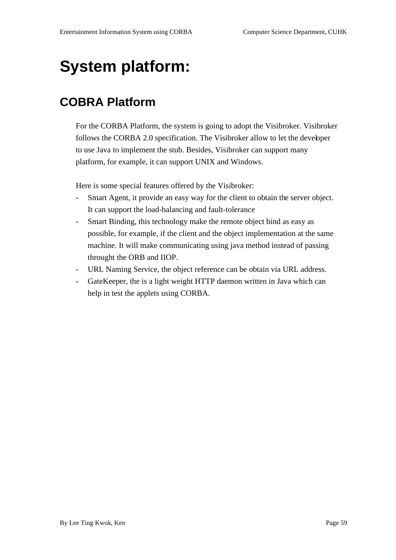## **Systemplatform:**

#### **COBRA Platform**

Forthe CORBA Platform, the systemisgoing to adopt the Visibroker. Visibroker follows the CORBA2.0 specification. The Visibroker allow to let the devel oper to use Javatoimplement the stub. Besides, Visibroker can support many platform, for example, it can support UNIX and Windows.

Here is some special features offered by the Visibroker:

- Smart Agent, it provide an easy way for the client to obtain the server object. It can support the load -balancing and fault -tolerance
- SmartBinding, this technology make the remote object bind as easy as possible, for example, if the client and the object implementation at the same machine. It will make communicating using java method instead of passing throught the ORB and IIOP.
- URL Naming Service, the object reference can be obtain via URL address.
- GateKeeper, the is a light weight HTTP daemon written in Java which can helpintestthe applets using CORBA.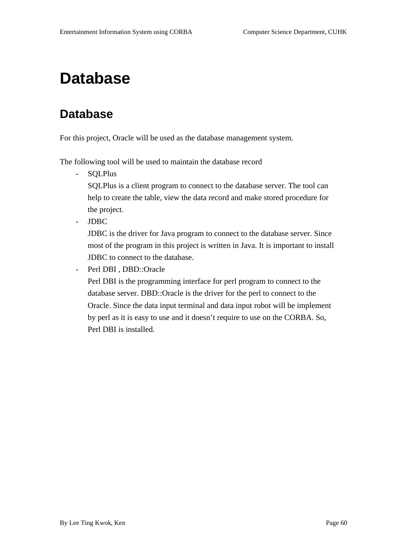## **Database**

#### **Database**

Forthis project, Oracle will be used as the database managements y stem.

The following tool will be used to maintain the database record

- SQLPlus

SQLPlus is a client program to connect to the database server. The tool can help to create the t able, view the data record and makes to red procedure for the project.

- JDBC

JDBC is the driver for Java program to connect to the database server. Since most of the program in this project is written in Java. It is important to install JDBC to connect to the edatabase.

- PerlDBI,DBD::Oracle

PerlDBI is the programming interface for perl program to connect to the databaseserver. DBD::Oracleisthedriverfortheperltoconnecttothe Oracle. Since the data input terminal and data input robot will be impleme nt by per lasitise asy to use and it doesn't require to use on the CORBA. So, PerlDBIisinstalled.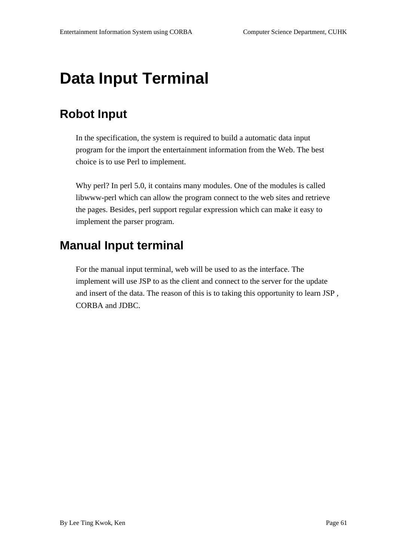## **DataInputTerminal**

### **Robot Input**

In the specification, the system is required to build a automatic data input program for the import the entertainment information from the Web. The best choice is to use Perl to implement.

Why perl? In perl 5.0, it contains many modules. One of the modules is called libwww-perl which can allow the program connect to the websites and retrieve the pages. Besides, perlsup port regular expression which can make it easy to implement the parser program.

#### **ManualInputterminal**

For the manual inputterminal, we bwill be used to as the interface. The implement will use JSP to as the client and connect to the server for the update and insert of the data. The reason of this is to taking this opportunity to learn JSP, CORBA and JDBC.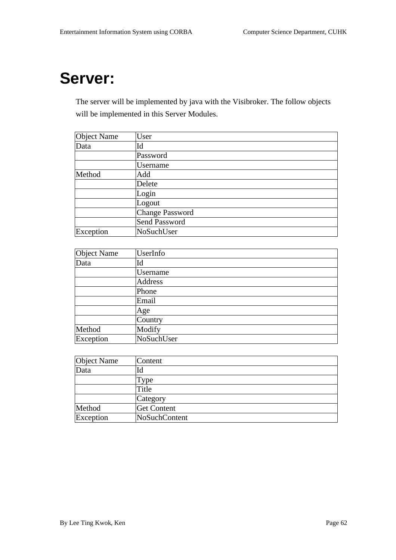## **Server:**

Theserver will be implemented by java with the Visibroker. The follow objects will be implemented in this Server Modules.

| ObjectName | User            |
|------------|-----------------|
| Data       | Id              |
|            | Password        |
|            | <b>Username</b> |
| Method     | Add             |
|            | Delete          |
|            | Login           |
|            | Logout          |
|            | ChangePassword  |
|            | SendPassword    |
| Exception  | NoSuchUser      |

| ObjectName | UserInfo   |
|------------|------------|
| Data       | Id         |
|            | Username   |
|            | Address    |
|            | Phone      |
|            | Email      |
|            | Age        |
|            | Country    |
| Method     | Modify     |
| Exception  | NoSuchUser |

| ObjectName | Content           |
|------------|-------------------|
| Data       | Id                |
|            | Type              |
|            | Title             |
|            | Category          |
| Method     | <b>GetContent</b> |
| Exception  | NoSuchContent     |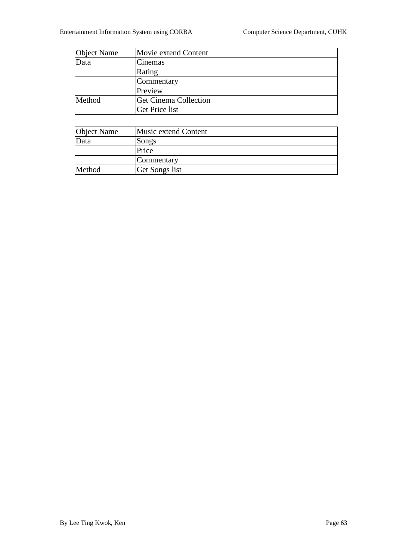| ObjectName | MovieextendContent  |
|------------|---------------------|
| Data       | Cinemas             |
|            | Rating              |
|            | Commentary          |
|            | Preview             |
| Method     | GetCinemaCollection |
|            | GetPricelist        |

| ObjectName | Musicextend Content |
|------------|---------------------|
| Data       | Songs               |
|            | Price               |
|            | Commentary          |
| Method     | GetSongslist        |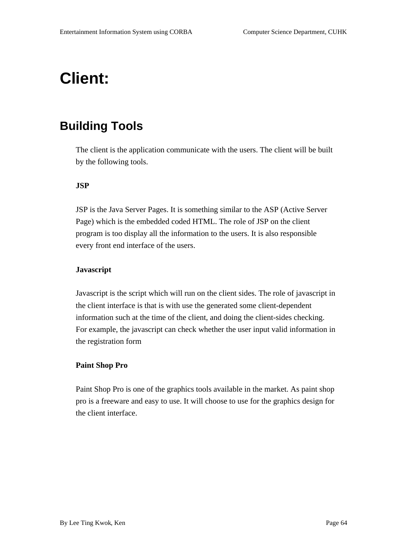## **Client:**

#### **Building Tools**

The client is the application communicate with the users. The client will be built by the following tools.

#### **JSP**

JSP is the Java Server Pages. It is something simi lar to the ASP (Active Server Page) which is the embedded coded HTML. The role of JSP on the client program is too display all the information to the users. It is also responsible every front endinterface of the users.

#### **Javascript**

Javascriptisthescri ptwhich will run on the client sides. The role of javascriptin the client interface is that is with use the generated some client -dependent information such at the time of the client, and doing the client -sides checking. For example, the javascript can c heck whether the user input valid information in the registration form

#### **Paint Shop Pro**

Paint Shop Proisone of the graphics tools available in the market. As paints hop proisafreewareandeasytouse.Itwill choose to use for the graphics design for the client interface.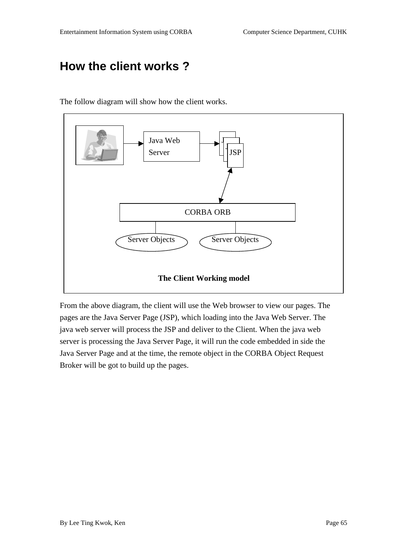### **How the client works ?**



The follow diagram will show how the client works.

From the above diagram, the client will use the Web browser to view our pages. The pages are the Java Server Page (JSP), whi ch loading into the Java Web Server. The javawebserverwillprocessthe JSP and deliver to the Client. When the javaweb serverisprocessing the Java Server Page, it will run the code embedded inside the JavaServerPageandatthetime, the remote obj ectin the CORBA Object Request Brokerwillbegottobuildupthepages.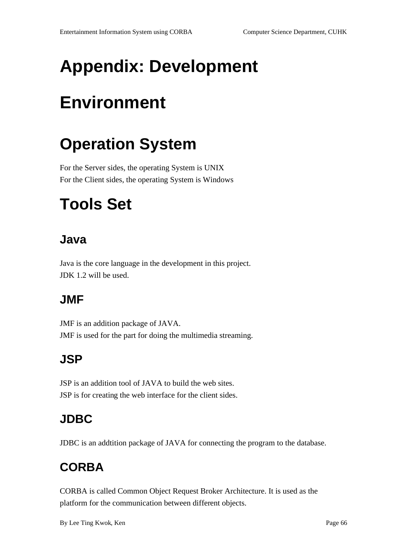# **Appendix: Development**

# **Environment**

## **Operation System**

For the Server sides, the operating System is UNIX For the Client sides, the operating System is Windows

## **Tools Set**

#### **Java**

Javais the corelanguage in the development in this project. JDK1.2 will be used.

### **JMF**

JMF is an addition package of JAVA. JMF is used for the part for doing the multimediast reaming.

### **JSP**

JSP is an addition tool of JAVA to build the websites. JSP is forcreatin gthe web interface for the client sides.

### **JDBC**

JDBC is an addtition package of JAVA for connecting the program to the database.

## **CORBA**

CORBA is called Common Object Request Broker Architecture. It is used as the platform for the communication between differ entobjects.